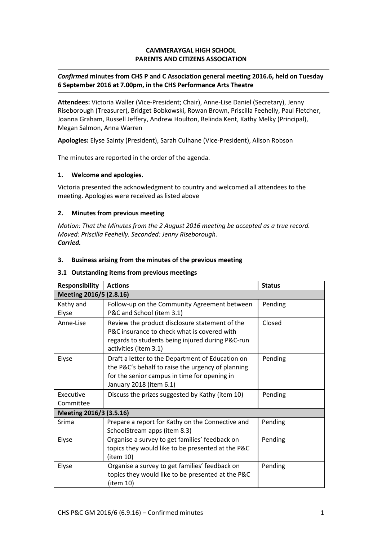## **CAMMERAYGAL HIGH SCHOOL PARENTS AND CITIZENS ASSOCIATION**

## *Confirmed* **minutes from CHS P and C Association general meeting 2016.6, held on Tuesday 6 September 2016 at 7.00pm, in the CHS Performance Arts Theatre**

**Attendees:** Victoria Waller (Vice-President; Chair), Anne-Lise Daniel (Secretary), Jenny Riseborough (Treasurer), Bridget Bobkowski, Rowan Brown, Priscilla Feehelly, Paul Fletcher, Joanna Graham, Russell Jeffery, Andrew Houlton, Belinda Kent, Kathy Melky (Principal), Megan Salmon, Anna Warren

**Apologies:** Elyse Sainty (President), Sarah Culhane (Vice-President), Alison Robson

The minutes are reported in the order of the agenda.

## **1. Welcome and apologies.**

Victoria presented the acknowledgment to country and welcomed all attendees to the meeting. Apologies were received as listed above

## **2. Minutes from previous meeting**

*Motion: That the Minutes from the 2 August 2016 meeting be accepted as a true record. Moved: Priscilla Feehelly. Seconded: Jenny Riseborough. Carried.*

## **3. Business arising from the minutes of the previous meeting**

### **3.1 Outstanding items from previous meetings**

| <b>Responsibility</b>   | <b>Actions</b>                                                                                                                                                                   | <b>Status</b> |
|-------------------------|----------------------------------------------------------------------------------------------------------------------------------------------------------------------------------|---------------|
| Meeting 2016/5 (2.8.16) |                                                                                                                                                                                  |               |
| Kathy and<br>Elyse      | Follow-up on the Community Agreement between<br>P&C and School (item 3.1)                                                                                                        | Pending       |
| Anne-Lise               | Review the product disclosure statement of the<br>P&C insurance to check what is covered with<br>regards to students being injured during P&C-run<br>activities (item 3.1)       | Closed        |
| Elyse                   | Draft a letter to the Department of Education on<br>the P&C's behalf to raise the urgency of planning<br>for the senior campus in time for opening in<br>January 2018 (item 6.1) | Pending       |
| Executive<br>Committee  | Discuss the prizes suggested by Kathy (item 10)                                                                                                                                  | Pending       |
| Meeting 2016/3 (3.5.16) |                                                                                                                                                                                  |               |
| Srima                   | Prepare a report for Kathy on the Connective and<br>SchoolStream apps (item 8.3)                                                                                                 | Pending       |
| Elyse                   | Organise a survey to get families' feedback on<br>topics they would like to be presented at the P&C<br>(item 10)                                                                 | Pending       |
| Elyse                   | Organise a survey to get families' feedback on<br>topics they would like to be presented at the P&C<br>(item 10)                                                                 | Pending       |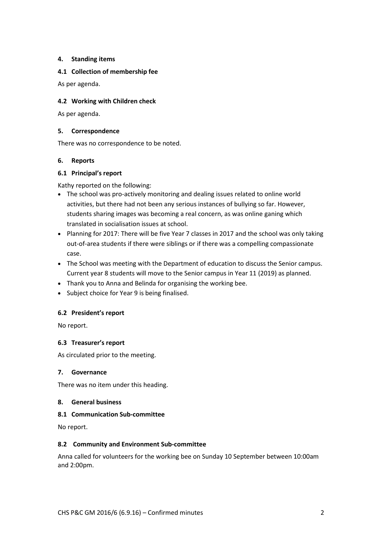## **4. Standing items**

### **4.1 Collection of membership fee**

As per agenda.

## **4.2 Working with Children check**

As per agenda.

### **5. Correspondence**

There was no correspondence to be noted.

## **6. Reports**

# **6.1 Principal's report**

Kathy reported on the following:

- The school was pro-actively monitoring and dealing issues related to online world activities, but there had not been any serious instances of bullying so far. However, students sharing images was becoming a real concern, as was online ganing which translated in socialisation issues at school.
- Planning for 2017: There will be five Year 7 classes in 2017 and the school was only taking out-of-area students if there were siblings or if there was a compelling compassionate case.
- The School was meeting with the Department of education to discuss the Senior campus. Current year 8 students will move to the Senior campus in Year 11 (2019) as planned.
- Thank you to Anna and Belinda for organising the working bee.
- Subject choice for Year 9 is being finalised.

## **6.2 President's report**

No report.

## **6.3 Treasurer's report**

As circulated prior to the meeting.

#### **7. Governance**

There was no item under this heading.

#### **8. General business**

#### **8.1 Communication Sub-committee**

No report.

#### **8.2 Community and Environment Sub-committee**

Anna called for volunteers for the working bee on Sunday 10 September between 10:00am and 2:00pm.